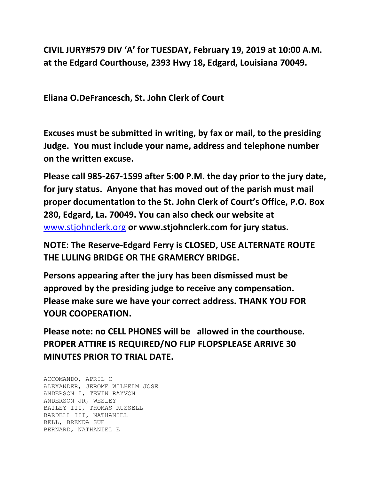**CIVIL JURY#579 DIV 'A' for TUESDAY, February 19, 2019 at 10:00 A.M. at the Edgard Courthouse, 2393 Hwy 18, Edgard, Louisiana 70049.**

**Eliana O.DeFrancesch, St. John Clerk of Court**

**Excuses must be submitted in writing, by fax or mail, to the presiding Judge. You must include your name, address and telephone number on the written excuse.**

**Please call 985-267-1599 after 5:00 P.M. the day prior to the jury date, for jury status. Anyone that has moved out of the parish must mail proper documentation to the St. John Clerk of Court's Office, P.O. Box 280, Edgard, La. 70049. You can also check our website at**  [www.stjohnclerk.org](http://www.stjohnclerk.org/) **or www.stjohnclerk.com for jury status.**

**NOTE: The Reserve-Edgard Ferry is CLOSED, USE ALTERNATE ROUTE THE LULING BRIDGE OR THE GRAMERCY BRIDGE.**

**Persons appearing after the jury has been dismissed must be approved by the presiding judge to receive any compensation. Please make sure we have your correct address. THANK YOU FOR YOUR COOPERATION.**

**Please note: no CELL PHONES will be allowed in the courthouse. PROPER ATTIRE IS REQUIRED/NO FLIP FLOPSPLEASE ARRIVE 30 MINUTES PRIOR TO TRIAL DATE.**

ACCOMANDO, APRIL C ALEXANDER, JEROME WILHELM JOSE ANDERSON I, TEVIN RAYVON ANDERSON JR, WESLEY BAILEY III, THOMAS RUSSELL BARDELL III, NATHANIEL BELL, BRENDA SUE BERNARD, NATHANIEL E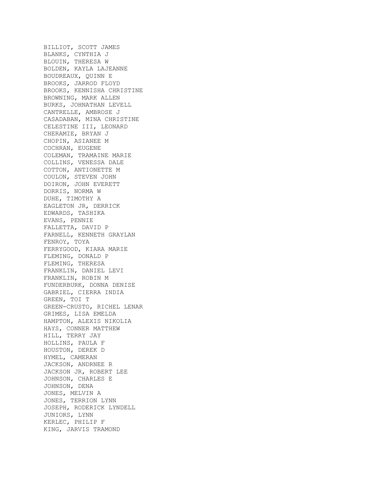BILLIOT, SCOTT JAMES BLANKS, CYNTHIA J BLOUIN, THERESA W BOLDEN, KAYLA LAJEANNE BOUDREAUX, QUINN E BROOKS, JARROD FLOYD BROOKS, KENNISHA CHRISTINE BROWNING, MARK ALLEN BURKS, JOHNATHAN LEVELL CANTRELLE, AMBROSE J CASADABAN, MINA CHRISTINE CELESTINE III, LEONARD CHERAMIE, BRYAN J CHOPIN, ASIANEE M COCHRAN, EUGENE COLEMAN, TRAMAINE MARIE COLLINS, VENESSA DALE COTTON, ANTIONETTE M COULON, STEVEN JOHN DOIRON, JOHN EVERETT DORRIS, NORMA W DUHE, TIMOTHY A EAGLETON JR, DERRICK EDWARDS, TASHIKA EVANS, PENNIE FALLETTA, DAVID P FARNELL, KENNETH GRAYLAN FENROY, TOYA FERRYGOOD, KIARA MARIE FLEMING, DONALD P FLEMING, THERESA FRANKLIN, DANIEL LEVI FRANKLIN, ROBIN M FUNDERBURK, DONNA DENISE GABRIEL, CIERRA INDIA GREEN, TOI T GREEN-CRUSTO, RICHEL LENAR GRIMES, LISA EMELDA HAMPTON, ALEXIS NIKOLIA HAYS, CONNER MATTHEW HILL, TERRY JAY HOLLINS, PAULA F HOUSTON, DEREK D HYMEL, CAMERAN JACKSON, ANDRNEE R JACKSON JR, ROBERT LEE JOHNSON, CHARLES E JOHNSON, DENA JONES, MELVIN A JONES, TERRION LYNN JOSEPH, RODERICK LYNDELL JUNIORS, LYNN KERLEC, PHILIP F KING, JARVIS TRAMOND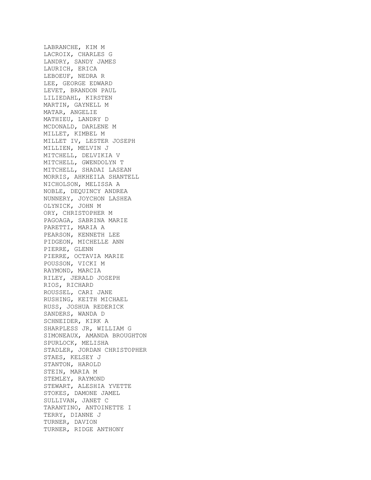LABRANCHE, KIM M LACROIX, CHARLES G LANDRY, SANDY JAMES LAURICH, ERICA LEBOEUF, NEDRA R LEE, GEORGE EDWARD LEVET, BRANDON PAUL LILIEDAHL, KIRSTEN MARTIN, GAYNELL M MATAR, ANGELIE MATHIEU, LANDRY D MCDONALD, DARLENE M MILLET, KIMBEL M MILLET IV, LESTER JOSEPH MILLIEN, MELVIN J MITCHELL, DELVIKIA V MITCHELL, GWENDOLYN T MITCHELL, SHADAI LASEAN MORRIS, AHKHEILA SHANTELL NICHOLSON, MELISSA A NOBLE, DEQUINCY ANDREA NUNNERY, JOYCHON LASHEA OLYNICK, JOHN M ORY, CHRISTOPHER M PAGOAGA, SABRINA MARIE PARETTI, MARIA A PEARSON, KENNETH LEE PIDGEON, MICHELLE ANN PIERRE, GLENN PIERRE, OCTAVIA MARIE POUSSON, VICKI M RAYMOND, MARCIA RILEY, JERALD JOSEPH RIOS, RICHARD ROUSSEL, CARI JANE RUSHING, KEITH MICHAEL RUSS, JOSHUA REDERICK SANDERS, WANDA D SCHNEIDER, KIRK A SHARPLESS JR, WILLIAM G SIMONEAUX, AMANDA BROUGHTON SPURLOCK, MELISHA STADLER, JORDAN CHRISTOPHER STAES, KELSEY J STANTON, HAROLD STEIN, MARIA M STEMLEY, RAYMOND STEWART, ALESHIA YVETTE STOKES, DAMONE JAMEL SULLIVAN, JANET C TARANTINO, ANTOINETTE I TERRY, DIANNE J TURNER, DAVION TURNER, RIDGE ANTHONY